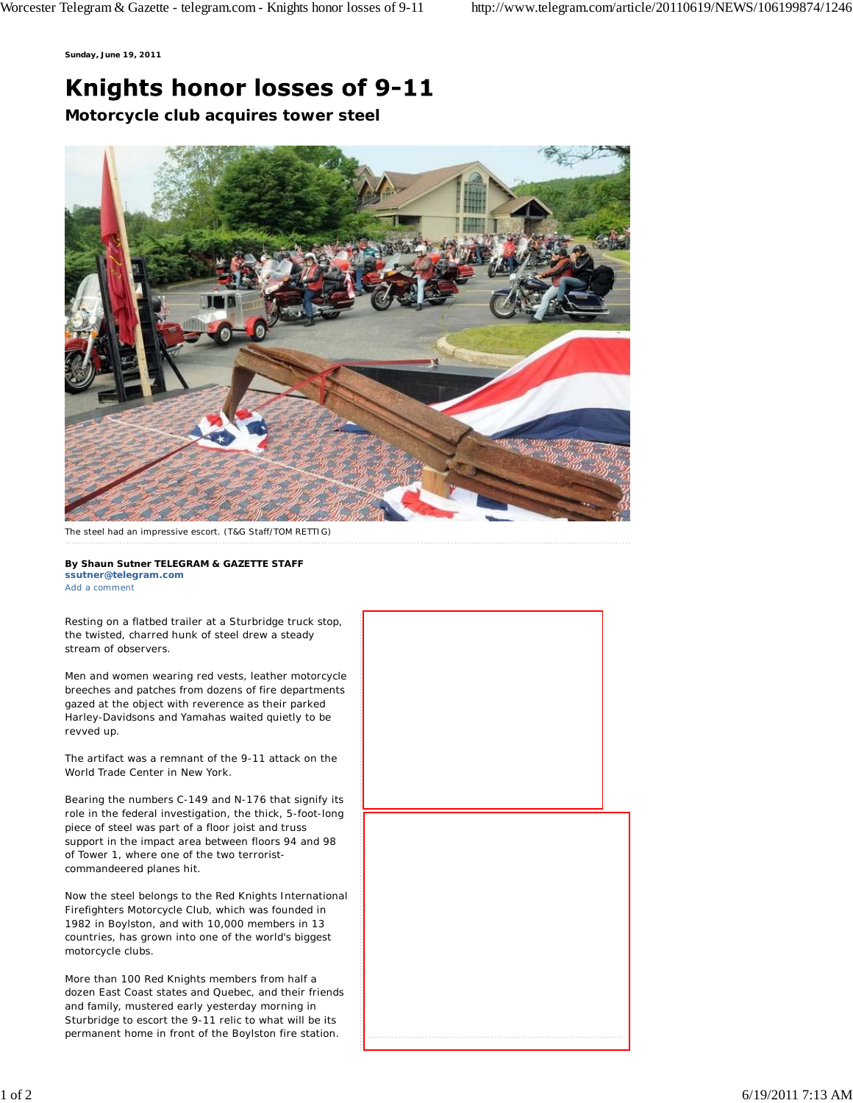**Sunday, June 19, 2011**

## Knights honor losses of 9-11

**Motorcycle club acquires tower steel**



The steel had an impressive escort. (T&G Staff/TOM RETTIG)

**By Shaun Sutner TELEGRAM & GAZETTE STAFF ssutner@telegram.com** Add a comment

Resting on a flatbed trailer at a Sturbridge truck stop, the twisted, charred hunk of steel drew a steady stream of observers.

Men and women wearing red vests, leather motorcycle breeches and patches from dozens of fire departments gazed at the object with reverence as their parked Harley-Davidsons and Yamahas waited quietly to be revved up.

The artifact was a remnant of the 9-11 attack on the World Trade Center in New York.

Bearing the numbers C-149 and N-176 that signify its role in the federal investigation, the thick, 5-foot-long piece of steel was part of a floor joist and truss support in the impact area between floors 94 and 98 of Tower 1, where one of the two terroristcommandeered planes hit.

Now the steel belongs to the Red Knights International Firefighters Motorcycle Club, which was founded in 1982 in Boylston, and with 10,000 members in 13 countries, has grown into one of the world's biggest motorcycle clubs.

More than 100 Red Knights members from half a dozen East Coast states and Quebec, and their friends and family, mustered early yesterday morning in Sturbridge to escort the 9-11 relic to what will be its permanent home in front of the Boylston fire station.

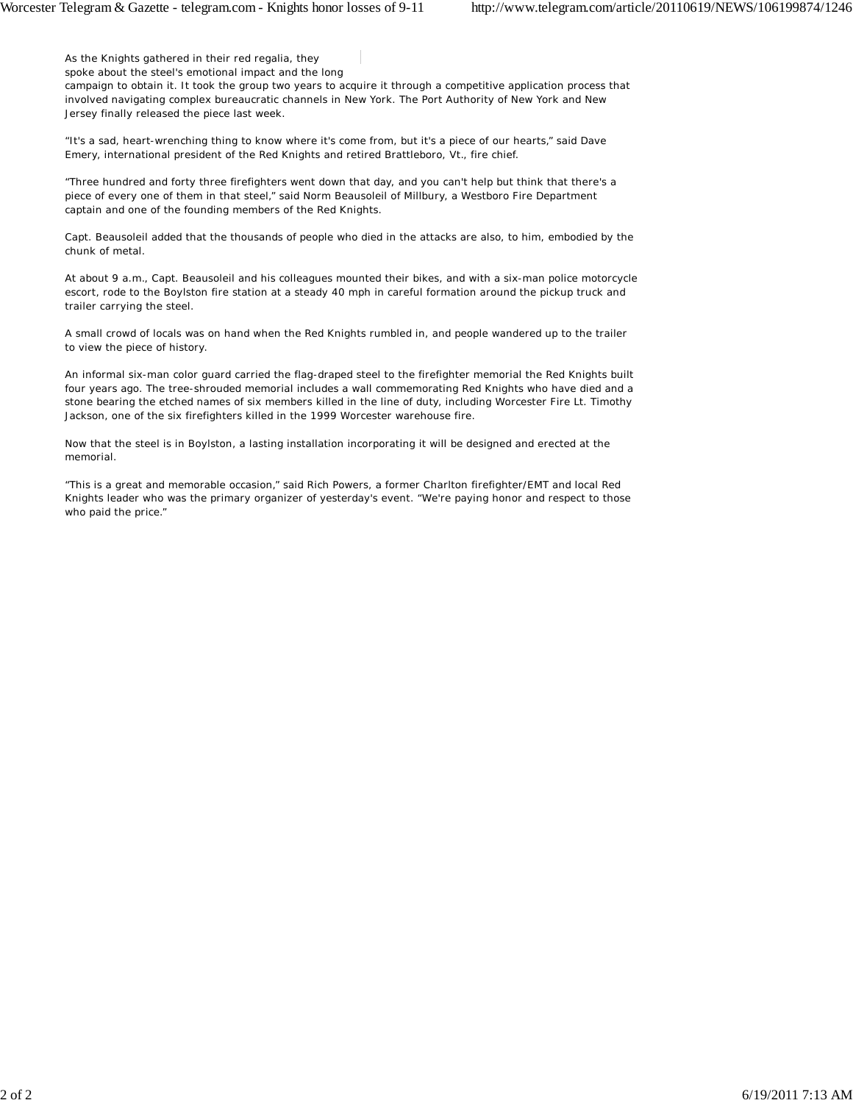As the Knights gathered in their red regalia, they

spoke about the steel's emotional impact and the long campaign to obtain it. It took the group two years to acquire it through a competitive application process that involved navigating complex bureaucratic channels in New York. The Port Authority of New York and New Jersey finally released the piece last week.

"It's a sad, heart-wrenching thing to know where it's come from, but it's a piece of our hearts," said Dave Emery, international president of the Red Knights and retired Brattleboro, Vt., fire chief.

"Three hundred and forty three firefighters went down that day, and you can't help but think that there's a piece of every one of them in that steel," said Norm Beausoleil of Millbury, a Westboro Fire Department captain and one of the founding members of the Red Knights.

Capt. Beausoleil added that the thousands of people who died in the attacks are also, to him, embodied by the chunk of metal.

At about 9 a.m., Capt. Beausoleil and his colleagues mounted their bikes, and with a six-man police motorcycle escort, rode to the Boylston fire station at a steady 40 mph in careful formation around the pickup truck and trailer carrying the steel.

A small crowd of locals was on hand when the Red Knights rumbled in, and people wandered up to the trailer to view the piece of history.

An informal six-man color guard carried the flag-draped steel to the firefighter memorial the Red Knights built four years ago. The tree-shrouded memorial includes a wall commemorating Red Knights who have died and a stone bearing the etched names of six members killed in the line of duty, including Worcester Fire Lt. Timothy Jackson, one of the six firefighters killed in the 1999 Worcester warehouse fire.

Now that the steel is in Boylston, a lasting installation incorporating it will be designed and erected at the memorial.

"This is a great and memorable occasion," said Rich Powers, a former Charlton firefighter/EMT and local Red Knights leader who was the primary organizer of yesterday's event. "We're paying honor and respect to those who paid the price."